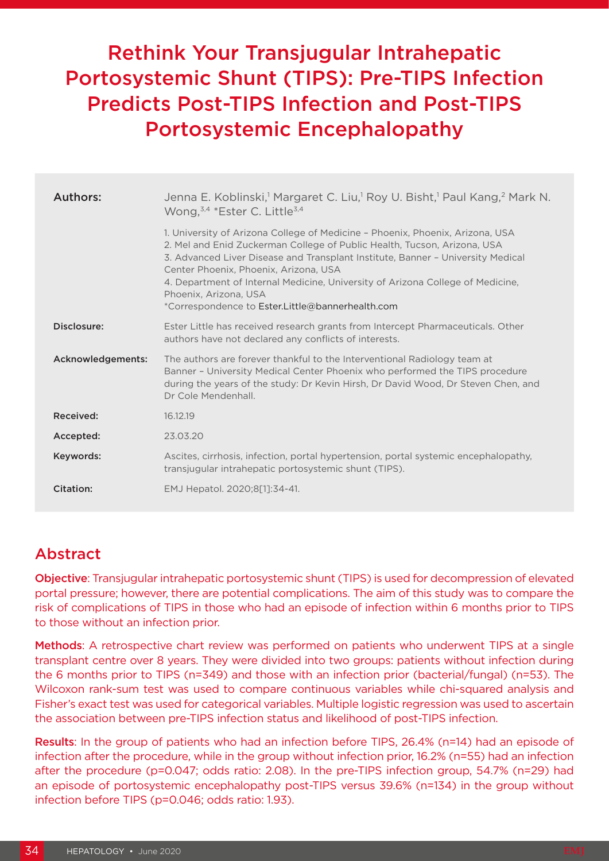# Rethink Your Transjugular Intrahepatic Portosystemic Shunt (TIPS): Pre-TIPS Infection Predicts Post-TIPS Infection and Post-TIPS Portosystemic Encephalopathy

| Authors:          | Jenna E. Koblinski, Margaret C. Liu, Roy U. Bisht, Paul Kang, <sup>2</sup> Mark N.<br>Wong, 3,4 * Ester C. Little <sup>3,4</sup>                                                                                                                                                                                                                                                                                                                     |
|-------------------|------------------------------------------------------------------------------------------------------------------------------------------------------------------------------------------------------------------------------------------------------------------------------------------------------------------------------------------------------------------------------------------------------------------------------------------------------|
|                   | 1. University of Arizona College of Medicine - Phoenix, Phoenix, Arizona, USA<br>2. Mel and Enid Zuckerman College of Public Health, Tucson, Arizona, USA<br>3. Advanced Liver Disease and Transplant Institute, Banner - University Medical<br>Center Phoenix, Phoenix, Arizona, USA<br>4. Department of Internal Medicine, University of Arizona College of Medicine,<br>Phoenix, Arizona, USA<br>*Correspondence to Ester.Little@bannerhealth.com |
| Disclosure:       | Ester Little has received research grants from Intercept Pharmaceuticals. Other<br>authors have not declared any conflicts of interests.                                                                                                                                                                                                                                                                                                             |
| Acknowledgements: | The authors are forever thankful to the Interventional Radiology team at<br>Banner - University Medical Center Phoenix who performed the TIPS procedure<br>during the years of the study: Dr Kevin Hirsh, Dr David Wood, Dr Steven Chen, and<br>Dr Cole Mendenhall.                                                                                                                                                                                  |
| Received:         | 16.12.19                                                                                                                                                                                                                                                                                                                                                                                                                                             |
| Accepted:         | 23.03.20                                                                                                                                                                                                                                                                                                                                                                                                                                             |
| Keywords:         | Ascites, cirrhosis, infection, portal hypertension, portal systemic encephalopathy,<br>transjugular intrahepatic portosystemic shunt (TIPS).                                                                                                                                                                                                                                                                                                         |
| Citation:         | EMJ Hepatol. 2020;8[1]:34-41.                                                                                                                                                                                                                                                                                                                                                                                                                        |

## Abstract

Objective: Transjugular intrahepatic portosystemic shunt (TIPS) is used for decompression of elevated portal pressure; however, there are potential complications. The aim of this study was to compare the risk of complications of TIPS in those who had an episode of infection within 6 months prior to TIPS to those without an infection prior.

Methods: A retrospective chart review was performed on patients who underwent TIPS at a single transplant centre over 8 years. They were divided into two groups: patients without infection during the 6 months prior to TIPS (n=349) and those with an infection prior (bacterial/fungal) (n=53). The Wilcoxon rank-sum test was used to compare continuous variables while chi-squared analysis and Fisher's exact test was used for categorical variables. Multiple logistic regression was used to ascertain the association between pre-TIPS infection status and likelihood of post-TIPS infection.

Results: In the group of patients who had an infection before TIPS, 26.4% (n=14) had an episode of infection after the procedure, while in the group without infection prior, 16.2% (n=55) had an infection after the procedure (p=0.047; odds ratio: 2.08). In the pre-TIPS infection group, 54.7% (n=29) had an episode of portosystemic encephalopathy post-TIPS versus 39.6% (n=134) in the group without infection before TIPS (p=0.046; odds ratio: 1.93).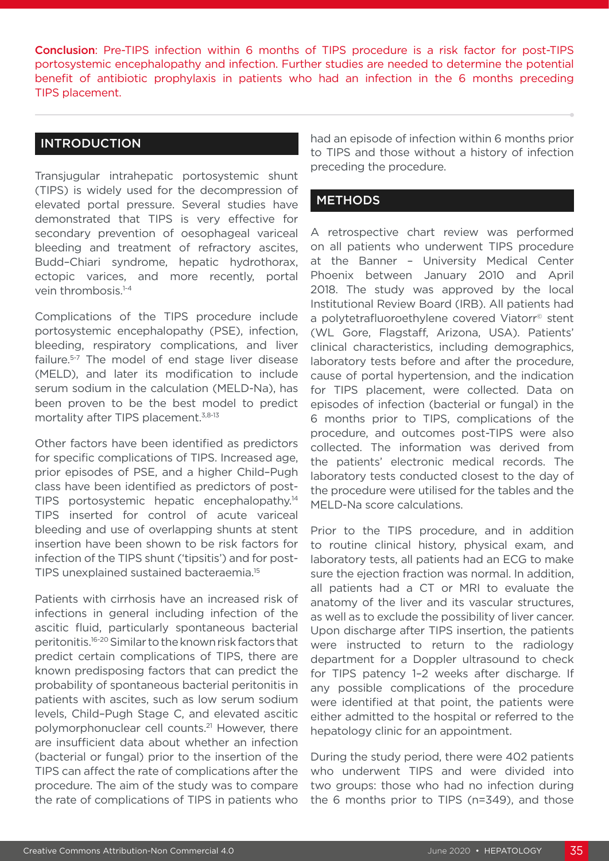Conclusion: Pre-TIPS infection within 6 months of TIPS procedure is a risk factor for post-TIPS portosystemic encephalopathy and infection. Further studies are needed to determine the potential benefit of antibiotic prophylaxis in patients who had an infection in the 6 months preceding TIPS placement.

#### INTRODUCTION

Transjugular intrahepatic portosystemic shunt (TIPS) is widely used for the decompression of elevated portal pressure. Several studies have demonstrated that TIPS is very effective for secondary prevention of oesophageal variceal bleeding and treatment of refractory ascites, Budd–Chiari syndrome, hepatic hydrothorax, ectopic varices, and more recently, portal vein thrombosis.1-4

Complications of the TIPS procedure include portosystemic encephalopathy (PSE), infection, bleeding, respiratory complications, and liver failure.5-7 The model of end stage liver disease (MELD), and later its modification to include serum sodium in the calculation (MELD-Na), has been proven to be the best model to predict mortality after TIPS placement.<sup>3,8-13</sup>

Other factors have been identified as predictors for specific complications of TIPS. Increased age, prior episodes of PSE, and a higher Child–Pugh class have been identified as predictors of post-TIPS portosystemic hepatic encephalopathy.14 TIPS inserted for control of acute variceal bleeding and use of overlapping shunts at stent insertion have been shown to be risk factors for infection of the TIPS shunt ('tipsitis') and for post-TIPS unexplained sustained bacteraemia.15

Patients with cirrhosis have an increased risk of infections in general including infection of the ascitic fluid, particularly spontaneous bacterial peritonitis.16-20 Similar to the known risk factors that predict certain complications of TIPS, there are known predisposing factors that can predict the probability of spontaneous bacterial peritonitis in patients with ascites, such as low serum sodium levels, Child–Pugh Stage C, and elevated ascitic polymorphonuclear cell counts.21 However, there are insufficient data about whether an infection (bacterial or fungal) prior to the insertion of the TIPS can affect the rate of complications after the procedure. The aim of the study was to compare the rate of complications of TIPS in patients who

had an episode of infection within 6 months prior to TIPS and those without a history of infection preceding the procedure.

### **METHODS**

A retrospective chart review was performed on all patients who underwent TIPS procedure at the Banner – University Medical Center Phoenix between January 2010 and April 2018. The study was approved by the local Institutional Review Board (IRB). All patients had a polytetrafluoroethylene covered Viatorr<sup>®</sup> stent (WL Gore, Flagstaff, Arizona, USA). Patients' clinical characteristics, including demographics, laboratory tests before and after the procedure, cause of portal hypertension, and the indication for TIPS placement, were collected. Data on episodes of infection (bacterial or fungal) in the 6 months prior to TIPS, complications of the procedure, and outcomes post-TIPS were also collected. The information was derived from the patients' electronic medical records. The laboratory tests conducted closest to the day of the procedure were utilised for the tables and the MELD-Na score calculations.

Prior to the TIPS procedure, and in addition to routine clinical history, physical exam, and laboratory tests, all patients had an ECG to make sure the ejection fraction was normal. In addition, all patients had a CT or MRI to evaluate the anatomy of the liver and its vascular structures, as well as to exclude the possibility of liver cancer. Upon discharge after TIPS insertion, the patients were instructed to return to the radiology department for a Doppler ultrasound to check for TIPS patency 1–2 weeks after discharge. If any possible complications of the procedure were identified at that point, the patients were either admitted to the hospital or referred to the hepatology clinic for an appointment.

During the study period, there were 402 patients who underwent TIPS and were divided into two groups: those who had no infection during the 6 months prior to TIPS (n=349), and those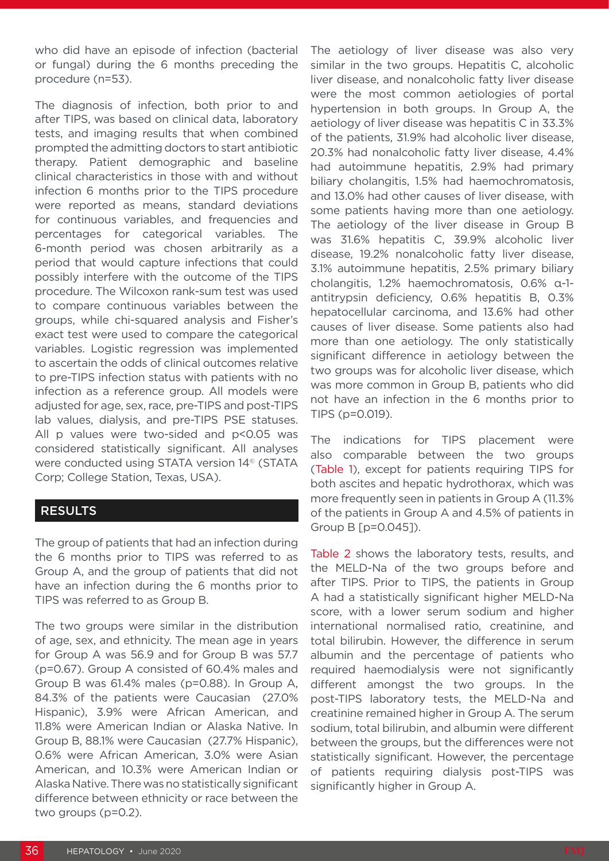who did have an episode of infection (bacterial or fungal) during the 6 months preceding the procedure (n=53).

The diagnosis of infection, both prior to and after TIPS, was based on clinical data, laboratory tests, and imaging results that when combined prompted the admitting doctors to start antibiotic therapy. Patient demographic and baseline clinical characteristics in those with and without infection 6 months prior to the TIPS procedure were reported as means, standard deviations for continuous variables, and frequencies and percentages for categorical variables. The 6-month period was chosen arbitrarily as a period that would capture infections that could possibly interfere with the outcome of the TIPS procedure. The Wilcoxon rank-sum test was used to compare continuous variables between the groups, while chi-squared analysis and Fisher's exact test were used to compare the categorical variables. Logistic regression was implemented to ascertain the odds of clinical outcomes relative to pre-TIPS infection status with patients with no infection as a reference group. All models were adjusted for age, sex, race, pre-TIPS and post-TIPS lab values, dialysis, and pre-TIPS PSE statuses. All p values were two-sided and p<0.05 was considered statistically significant. All analyses were conducted using STATA version 14© (STATA Corp; College Station, Texas, USA).

#### RESULTS

The group of patients that had an infection during the 6 months prior to TIPS was referred to as Group A, and the group of patients that did not have an infection during the 6 months prior to TIPS was referred to as Group B.

The two groups were similar in the distribution of age, sex, and ethnicity. The mean age in years for Group A was 56.9 and for Group B was 57.7 (p=0.67). Group A consisted of 60.4% males and Group B was 61.4% males (p=0.88). In Group A, 84.3% of the patients were Caucasian (27.0% Hispanic), 3.9% were African American, and 11.8% were American Indian or Alaska Native. In Group B, 88.1% were Caucasian (27.7% Hispanic), 0.6% were African American, 3.0% were Asian American, and 10.3% were American Indian or Alaska Native. There was no statistically significant difference between ethnicity or race between the two groups (p=0.2).

The aetiology of liver disease was also very similar in the two groups. Hepatitis C, alcoholic liver disease, and nonalcoholic fatty liver disease were the most common aetiologies of portal hypertension in both groups. In Group A, the aetiology of liver disease was hepatitis C in 33.3% of the patients, 31.9% had alcoholic liver disease, 20.3% had nonalcoholic fatty liver disease, 4.4% had autoimmune hepatitis, 2.9% had primary biliary cholangitis, 1.5% had haemochromatosis, and 13.0% had other causes of liver disease, with some patients having more than one aetiology. The aetiology of the liver disease in Group B was 31.6% hepatitis C, 39.9% alcoholic liver disease, 19.2% nonalcoholic fatty liver disease, 3.1% autoimmune hepatitis, 2.5% primary biliary cholangitis, 1.2% haemochromatosis, 0.6% α-1 antitrypsin deficiency, 0.6% hepatitis B, 0.3% hepatocellular carcinoma, and 13.6% had other causes of liver disease. Some patients also had more than one aetiology. The only statistically significant difference in aetiology between the two groups was for alcoholic liver disease, which was more common in Group B, patients who did not have an infection in the 6 months prior to TIPS (p=0.019).

The indications for TIPS placement were also comparable between the two groups (Table 1), except for patients requiring TIPS for both ascites and hepatic hydrothorax, which was more frequently seen in patients in Group A (11.3% of the patients in Group A and 4.5% of patients in Group B [p=0.045]).

Table 2 shows the laboratory tests, results, and the MELD-Na of the two groups before and after TIPS. Prior to TIPS, the patients in Group A had a statistically significant higher MELD-Na score, with a lower serum sodium and higher international normalised ratio, creatinine, and total bilirubin. However, the difference in serum albumin and the percentage of patients who required haemodialysis were not significantly different amongst the two groups. In the post-TIPS laboratory tests, the MELD-Na and creatinine remained higher in Group A. The serum sodium, total bilirubin, and albumin were different between the groups, but the differences were not statistically significant. However, the percentage of patients requiring dialysis post-TIPS was significantly higher in Group A.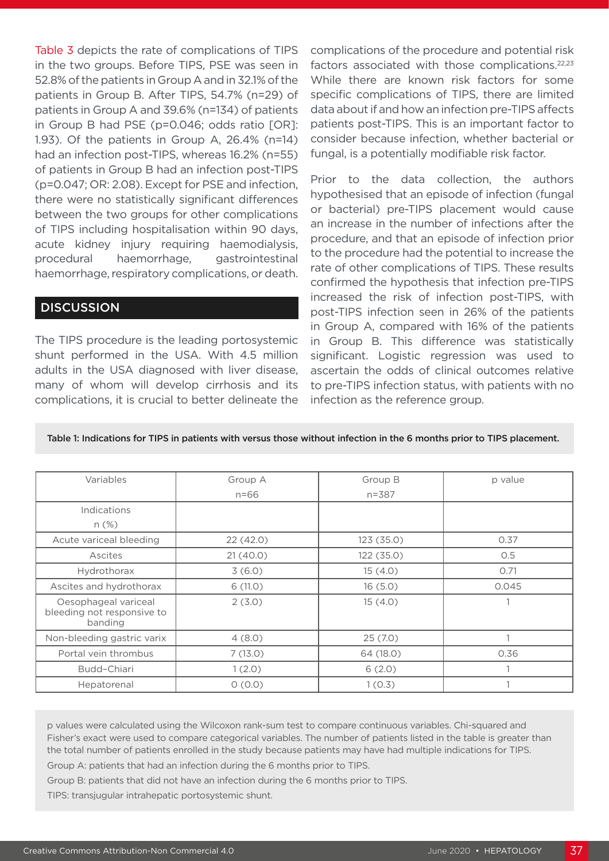Table 3 depicts the rate of complications of TIPS in the two groups. Before TIPS, PSE was seen in 52.8% of the patients in Group A and in 32.1% of the patients in Group B. After TIPS, 54.7% (n=29) of patients in Group A and 39.6% (n=134) of patients in Group B had PSE (p=0.046; odds ratio [OR]: 1.93). Of the patients in Group A, 26.4% (n=14) had an infection post-TIPS, whereas 16.2% (n=55) of patients in Group B had an infection post-TIPS (p=0.047; OR: 2.08). Except for PSE and infection, there were no statistically significant differences between the two groups for other complications of TIPS including hospitalisation within 90 days, acute kidney injury requiring haemodialysis, procedural haemorrhage, gastrointestinal haemorrhage, respiratory complications, or death.

#### **DISCUSSION**

The TIPS procedure is the leading portosystemic shunt performed in the USA. With 4.5 million adults in the USA diagnosed with liver disease, many of whom will develop cirrhosis and its complications, it is crucial to better delineate the complications of the procedure and potential risk factors associated with those complications.<sup>22,23</sup> While there are known risk factors for some specific complications of TIPS, there are limited data about if and how an infection pre-TIPS affects patients post-TIPS. This is an important factor to consider because infection, whether bacterial or fungal, is a potentially modifiable risk factor.

Prior to the data collection, the authors hypothesised that an episode of infection (fungal or bacterial) pre-TIPS placement would cause an increase in the number of infections after the procedure, and that an episode of infection prior to the procedure had the potential to increase the rate of other complications of TIPS. These results confirmed the hypothesis that infection pre-TIPS increased the risk of infection post-TIPS, with post-TIPS infection seen in 26% of the patients in Group A, compared with 16% of the patients in Group B. This difference was statistically significant. Logistic regression was used to ascertain the odds of clinical outcomes relative to pre-TIPS infection status, with patients with no infection as the reference group.

Table 1: Indications for TIPS in patients with versus those without infection in the 6 months prior to TIPS placement.

| Variables                                                     | Group A  | Group B    | p value |
|---------------------------------------------------------------|----------|------------|---------|
|                                                               | $n = 66$ | $n = 387$  |         |
| Indications                                                   |          |            |         |
| $n$ (%)                                                       |          |            |         |
| Acute variceal bleeding                                       | 22(42.0) | 123(35.0)  | 0.37    |
| Ascites                                                       | 21(40.0) | 122 (35.0) | 0.5     |
| Hydrothorax                                                   | 3(6.0)   | 15(4.0)    | 0.71    |
| Ascites and hydrothorax                                       | 6(11.0)  | 16(5.0)    | 0.045   |
| Oesophageal variceal<br>bleeding not responsive to<br>banding | 2(3.0)   | 15(4.0)    |         |
| Non-bleeding gastric varix                                    | 4(8.0)   | 25(7.0)    |         |
| Portal vein thrombus                                          | 7(13.0)  | 64 (18.0)  | 0.36    |
| Budd-Chiari                                                   | 1(2.0)   | 6(2.0)     |         |
| Hepatorenal                                                   | 0(0.0)   | 1(0.3)     |         |

p values were calculated using the Wilcoxon rank-sum test to compare continuous variables. Chi-squared and Fisher's exact were used to compare categorical variables. The number of patients listed in the table is greater than the total number of patients enrolled in the study because patients may have had multiple indications for TIPS. Group A: patients that had an infection during the 6 months prior to TIPS.

Group B: patients that did not have an infection during the 6 months prior to TIPS.

TIPS: transjugular intrahepatic portosystemic shunt.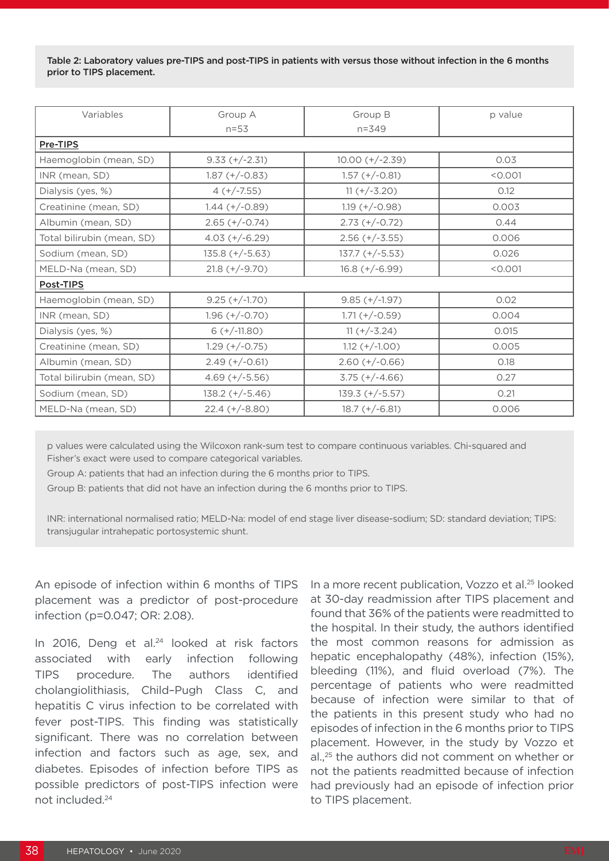Table 2: Laboratory values pre-TIPS and post-TIPS in patients with versus those without infection in the 6 months prior to TIPS placement.

| Variables                  | Group A           | Group B           | p value |
|----------------------------|-------------------|-------------------|---------|
|                            | $n = 53$          | $n = 349$         |         |
| Pre-TIPS                   |                   |                   |         |
| Haemoglobin (mean, SD)     | $9.33 (+/-2.31)$  | $10.00 (+/-2.39)$ | 0.03    |
| INR (mean, SD)             | $1.87 (+/-0.83)$  | $1.57 (+/-0.81)$  | < 0.001 |
| Dialysis (yes, %)          | $4 (+/-7.55)$     | $11 (+/-3.20)$    | 0.12    |
| Creatinine (mean, SD)      | $1.44 (+/-0.89)$  | $1.19 (+/-0.98)$  | 0.003   |
| Albumin (mean, SD)         | $2.65 (+/-0.74)$  | $2.73 (+/-0.72)$  | 0.44    |
| Total bilirubin (mean, SD) | $4.03 (+/-6.29)$  | $2.56 (+/-3.55)$  | 0.006   |
| Sodium (mean, SD)          | $135.8 (+/-5.63)$ | $137.7 (+/-5.53)$ | 0.026   |
| MELD-Na (mean, SD)         | $21.8 (+/-9.70)$  | $16.8 (+/-6.99)$  | < 0.001 |
| Post-TIPS                  |                   |                   |         |
| Haemoglobin (mean, SD)     | $9.25 (+/-1.70)$  | $9.85 (+/-1.97)$  | 0.02    |
| INR (mean, SD)             | $1.96 (+/-0.70)$  | $1.71 (+/-0.59)$  | 0.004   |
| Dialysis (yes, %)          | $6 (+/11.80)$     | $11 (+/-3.24)$    | 0.015   |
| Creatinine (mean, SD)      | $1.29 (+/-0.75)$  | $1.12 (+/-1.00)$  | 0.005   |
| Albumin (mean, SD)         | $2.49 (+/-0.61)$  | $2.60 (+/-0.66)$  | 0.18    |
| Total bilirubin (mean, SD) | $4.69 (+/-5.56)$  | $3.75 (+/-4.66)$  | 0.27    |
| Sodium (mean, SD)          | $138.2 (+/-5.46)$ | $139.3 (+/-5.57)$ | 0.21    |
| MELD-Na (mean, SD)         | $22.4 (+/-8.80)$  | $18.7 (+/-6.81)$  | 0.006   |

p values were calculated using the Wilcoxon rank-sum test to compare continuous variables. Chi-squared and Fisher's exact were used to compare categorical variables.

Group A: patients that had an infection during the 6 months prior to TIPS.

Group B: patients that did not have an infection during the 6 months prior to TIPS.

INR: international normalised ratio; MELD-Na: model of end stage liver disease-sodium; SD: standard deviation; TIPS: transjugular intrahepatic portosystemic shunt.

An episode of infection within 6 months of TIPS placement was a predictor of post-procedure infection (p=0.047; OR: 2.08).

In 2016, Deng et al.<sup>24</sup> looked at risk factors associated with early infection following TIPS procedure. The authors identified cholangiolithiasis, Child–Pugh Class C, and hepatitis C virus infection to be correlated with fever post-TIPS. This finding was statistically significant. There was no correlation between infection and factors such as age, sex, and diabetes. Episodes of infection before TIPS as possible predictors of post-TIPS infection were not included.24

In a more recent publication, Vozzo et al.<sup>25</sup> looked at 30-day readmission after TIPS placement and found that 36% of the patients were readmitted to the hospital. In their study, the authors identified the most common reasons for admission as hepatic encephalopathy (48%), infection (15%), bleeding (11%), and fluid overload (7%). The percentage of patients who were readmitted because of infection were similar to that of the patients in this present study who had no episodes of infection in the 6 months prior to TIPS placement. However, in the study by Vozzo et al.<sup>25</sup> the authors did not comment on whether or not the patients readmitted because of infection had previously had an episode of infection prior to TIPS placement.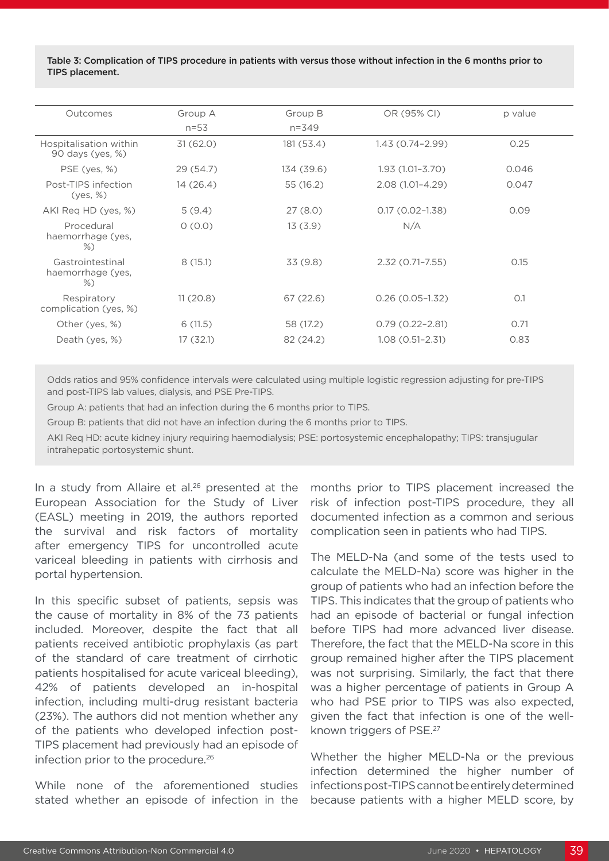Table 3: Complication of TIPS procedure in patients with versus those without infection in the 6 months prior to TIPS placement.

| Outcomes                                   | Group A   | Group B    | OR (95% CI)         | p value |
|--------------------------------------------|-----------|------------|---------------------|---------|
|                                            | $n = 53$  | $n = 349$  |                     |         |
| Hospitalisation within<br>90 days (yes, %) | 31(62.0)  | 181 (53.4) | $1.43(0.74 - 2.99)$ | 0.25    |
| PSE (yes, %)                               | 29 (54.7) | 134 (39.6) | $1.93(1.01 - 3.70)$ | 0.046   |
| Post-TIPS infection<br>(yes, %)            | 14 (26.4) | 55 (16.2)  | $2.08(1.01 - 4.29)$ | 0.047   |
| AKI Reg HD (yes, %)                        | 5(9.4)    | 27(8.0)    | $0.17(0.02 - 1.38)$ | 0.09    |
| Procedural<br>haemorrhage (yes,<br>%       | 0(0.0)    | 13(3.9)    | N/A                 |         |
| Gastrointestinal<br>haemorrhage (yes,<br>% | 8(15.1)   | 33(9.8)    | $2.32(0.71 - 7.55)$ | 0.15    |
| Respiratory<br>complication (yes, %)       | 11(20.8)  | 67 (22.6)  | $0.26(0.05-1.32)$   | O.1     |
| Other (yes, %)                             | 6(11.5)   | 58 (17.2)  | $0.79(0.22 - 2.81)$ | 0.71    |
| Death (yes, %)                             | 17 (32.1) | 82 (24.2)  | $1.08(0.51 - 2.31)$ | 0.83    |
|                                            |           |            |                     |         |

Odds ratios and 95% confidence intervals were calculated using multiple logistic regression adjusting for pre-TIPS and post-TIPS lab values, dialysis, and PSE Pre-TIPS.

Group A: patients that had an infection during the 6 months prior to TIPS.

Group B: patients that did not have an infection during the 6 months prior to TIPS.

AKI Req HD: acute kidney injury requiring haemodialysis; PSE: portosystemic encephalopathy; TIPS: transjugular intrahepatic portosystemic shunt.

In a study from Allaire et al.<sup>26</sup> presented at the European Association for the Study of Liver (EASL) meeting in 2019, the authors reported the survival and risk factors of mortality after emergency TIPS for uncontrolled acute variceal bleeding in patients with cirrhosis and portal hypertension.

In this specific subset of patients, sepsis was the cause of mortality in 8% of the 73 patients included. Moreover, despite the fact that all patients received antibiotic prophylaxis (as part of the standard of care treatment of cirrhotic patients hospitalised for acute variceal bleeding), 42% of patients developed an in-hospital infection, including multi-drug resistant bacteria (23%). The authors did not mention whether any of the patients who developed infection post-TIPS placement had previously had an episode of infection prior to the procedure.<sup>26</sup>

While none of the aforementioned studies stated whether an episode of infection in the months prior to TIPS placement increased the risk of infection post-TIPS procedure, they all documented infection as a common and serious complication seen in patients who had TIPS.

The MELD-Na (and some of the tests used to calculate the MELD-Na) score was higher in the group of patients who had an infection before the TIPS. This indicates that the group of patients who had an episode of bacterial or fungal infection before TIPS had more advanced liver disease. Therefore, the fact that the MELD-Na score in this group remained higher after the TIPS placement was not surprising. Similarly, the fact that there was a higher percentage of patients in Group A who had PSE prior to TIPS was also expected. given the fact that infection is one of the wellknown triggers of PSE.27

Whether the higher MELD-Na or the previous infection determined the higher number of infections post-TIPS cannot be entirely determined because patients with a higher MELD score, by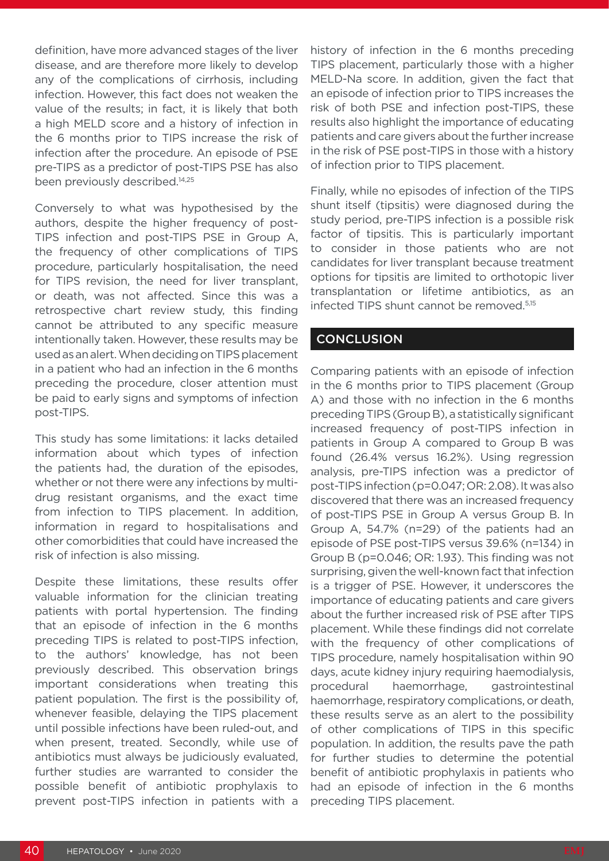definition, have more advanced stages of the liver disease, and are therefore more likely to develop any of the complications of cirrhosis, including infection. However, this fact does not weaken the value of the results; in fact, it is likely that both a high MELD score and a history of infection in the 6 months prior to TIPS increase the risk of infection after the procedure. An episode of PSE pre-TIPS as a predictor of post-TIPS PSE has also been previously described.<sup>14,25</sup>

Conversely to what was hypothesised by the authors, despite the higher frequency of post-TIPS infection and post-TIPS PSE in Group A, the frequency of other complications of TIPS procedure, particularly hospitalisation, the need for TIPS revision, the need for liver transplant, or death, was not affected. Since this was a retrospective chart review study, this finding cannot be attributed to any specific measure intentionally taken. However, these results may be used as an alert. When deciding on TIPS placement in a patient who had an infection in the 6 months preceding the procedure, closer attention must be paid to early signs and symptoms of infection post-TIPS.

This study has some limitations: it lacks detailed information about which types of infection the patients had, the duration of the episodes, whether or not there were any infections by multidrug resistant organisms, and the exact time from infection to TIPS placement. In addition, information in regard to hospitalisations and other comorbidities that could have increased the risk of infection is also missing.

Despite these limitations, these results offer valuable information for the clinician treating patients with portal hypertension. The finding that an episode of infection in the 6 months preceding TIPS is related to post-TIPS infection, to the authors' knowledge, has not been previously described. This observation brings important considerations when treating this patient population. The first is the possibility of, whenever feasible, delaying the TIPS placement until possible infections have been ruled-out, and when present, treated. Secondly, while use of antibiotics must always be judiciously evaluated, further studies are warranted to consider the possible benefit of antibiotic prophylaxis to prevent post-TIPS infection in patients with a

history of infection in the 6 months preceding TIPS placement, particularly those with a higher MELD-Na score. In addition, given the fact that an episode of infection prior to TIPS increases the risk of both PSE and infection post-TIPS, these results also highlight the importance of educating patients and care givers about the further increase in the risk of PSE post-TIPS in those with a history of infection prior to TIPS placement.

Finally, while no episodes of infection of the TIPS shunt itself (tipsitis) were diagnosed during the study period, pre-TIPS infection is a possible risk factor of tipsitis. This is particularly important to consider in those patients who are not candidates for liver transplant because treatment options for tipsitis are limited to orthotopic liver transplantation or lifetime antibiotics, as an infected TIPS shunt cannot be removed.<sup>5,15</sup>

#### **CONCLUSION**

Comparing patients with an episode of infection in the 6 months prior to TIPS placement (Group A) and those with no infection in the 6 months preceding TIPS (Group B), a statistically significant increased frequency of post-TIPS infection in patients in Group A compared to Group B was found (26.4% versus 16.2%). Using regression analysis, pre-TIPS infection was a predictor of post-TIPS infection (p=0.047; OR: 2.08). It was also discovered that there was an increased frequency of post-TIPS PSE in Group A versus Group B. In Group A, 54.7% (n=29) of the patients had an episode of PSE post-TIPS versus 39.6% (n=134) in Group B (p=0.046; OR: 1.93). This finding was not surprising, given the well-known fact that infection is a trigger of PSE. However, it underscores the importance of educating patients and care givers about the further increased risk of PSE after TIPS placement. While these findings did not correlate with the frequency of other complications of TIPS procedure, namely hospitalisation within 90 days, acute kidney injury requiring haemodialysis, procedural haemorrhage, gastrointestinal haemorrhage, respiratory complications, or death, these results serve as an alert to the possibility of other complications of TIPS in this specific population. In addition, the results pave the path for further studies to determine the potential benefit of antibiotic prophylaxis in patients who had an episode of infection in the 6 months preceding TIPS placement.